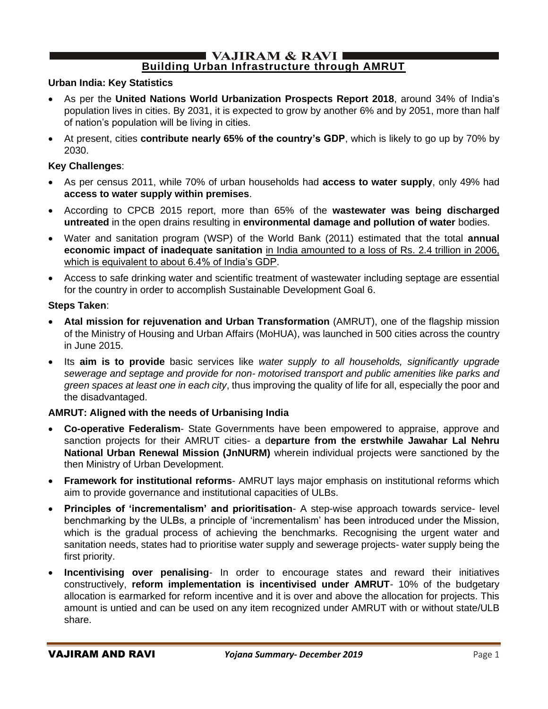#### $\blacksquare$  VAJIRAM & RAVI $\blacksquare$ **Building Urban Infrastructure through AMRUT**

### **Urban India: Key Statistics**

- As per the **United Nations World Urbanization Prospects Report 2018**, around 34% of India's population lives in cities. By 2031, it is expected to grow by another 6% and by 2051, more than half of nation's population will be living in cities.
- At present, cities **contribute nearly 65% of the country's GDP**, which is likely to go up by 70% by 2030.

#### **Key Challenges**:

- As per census 2011, while 70% of urban households had **access to water supply**, only 49% had **access to water supply within premises**.
- According to CPCB 2015 report, more than 65% of the **wastewater was being discharged untreated** in the open drains resulting in **environmental damage and pollution of water** bodies.
- Water and sanitation program (WSP) of the World Bank (2011) estimated that the total **annual economic impact of inadequate sanitation** in India amounted to a loss of Rs. 2.4 trillion in 2006, which is equivalent to about 6.4% of India's GDP.
- Access to safe drinking water and scientific treatment of wastewater including septage are essential for the country in order to accomplish Sustainable Development Goal 6.

#### **Steps Taken**:

- **Atal mission for rejuvenation and Urban Transformation** (AMRUT), one of the flagship mission of the Ministry of Housing and Urban Affairs (MoHUA), was launched in 500 cities across the country in June 2015.
- Its **aim is to provide** basic services like *water supply to all households, significantly upgrade sewerage and septage and provide for non- motorised transport and public amenities like parks and green spaces at least one in each city*, thus improving the quality of life for all, especially the poor and the disadvantaged.

### **AMRUT: Aligned with the needs of Urbanising India**

- **Co-operative Federalism** State Governments have been empowered to appraise, approve and sanction projects for their AMRUT cities- a d**eparture from the erstwhile Jawahar Lal Nehru National Urban Renewal Mission (JnNURM)** wherein individual projects were sanctioned by the then Ministry of Urban Development.
- **Framework for institutional reforms** AMRUT lays major emphasis on institutional reforms which aim to provide governance and institutional capacities of ULBs.
- **Principles of 'incrementalism' and prioritisation** A step-wise approach towards service- level benchmarking by the ULBs, a principle of 'incrementalism' has been introduced under the Mission, which is the gradual process of achieving the benchmarks. Recognising the urgent water and sanitation needs, states had to prioritise water supply and sewerage projects- water supply being the first priority.
- **Incentivising over penalising** In order to encourage states and reward their initiatives constructively, **reform implementation is incentivised under AMRUT**- 10% of the budgetary allocation is earmarked for reform incentive and it is over and above the allocation for projects. This amount is untied and can be used on any item recognized under AMRUT with or without state/ULB share.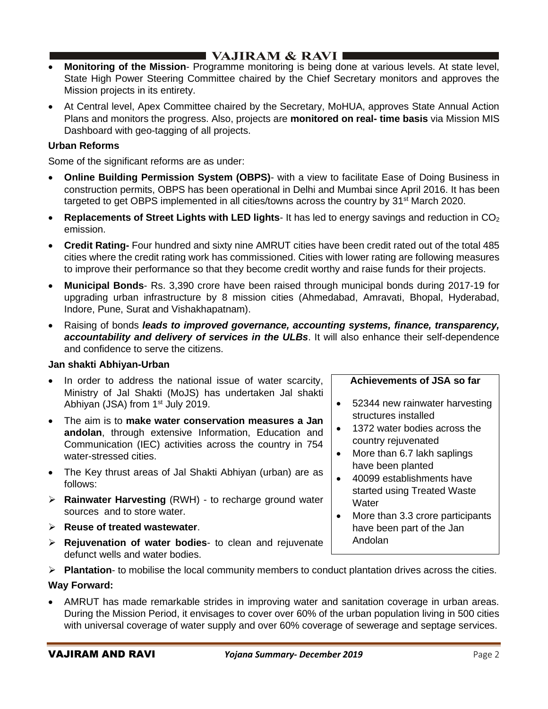- **Monitoring of the Mission** Programme monitoring is being done at various levels. At state level, State High Power Steering Committee chaired by the Chief Secretary monitors and approves the Mission projects in its entirety.
- At Central level, Apex Committee chaired by the Secretary, MoHUA, approves State Annual Action Plans and monitors the progress. Also, projects are **monitored on real- time basis** via Mission MIS Dashboard with geo-tagging of all projects.

## **Urban Reforms**

Some of the significant reforms are as under:

- **Online Building Permission System (OBPS)** with a view to facilitate Ease of Doing Business in construction permits, OBPS has been operational in Delhi and Mumbai since April 2016. It has been targeted to get OBPS implemented in all cities/towns across the country by 31<sup>st</sup> March 2020.
- **Replacements of Street Lights with LED lights** It has led to energy savings and reduction in CO<sub>2</sub> emission.
- **Credit Rating-** Four hundred and sixty nine AMRUT cities have been credit rated out of the total 485 cities where the credit rating work has commissioned. Cities with lower rating are following measures to improve their performance so that they become credit worthy and raise funds for their projects.
- **Municipal Bonds** Rs. 3,390 crore have been raised through municipal bonds during 2017-19 for upgrading urban infrastructure by 8 mission cities (Ahmedabad, Amravati, Bhopal, Hyderabad, Indore, Pune, Surat and Vishakhapatnam).
- Raising of bonds *leads to improved governance, accounting systems, finance, transparency, accountability and delivery of services in the ULBs*. It will also enhance their self-dependence and confidence to serve the citizens.

### **Jan shakti Abhiyan-Urban**

- In order to address the national issue of water scarcity, Ministry of Jal Shakti (MoJS) has undertaken Jal shakti Abhiyan (JSA) from 1<sup>st</sup> July 2019.
- The aim is to **make water conservation measures a Jan andolan**, through extensive Information, Education and Communication (IEC) activities across the country in 754 water-stressed cities.
- The Key thrust areas of Jal Shakti Abhiyan (urban) are as follows:
- ➢ **Rainwater Harvesting** (RWH) to recharge ground water sources and to store water.
- ➢ **Reuse of treated wastewater**.
- ➢ **Rejuvenation of water bodies** to clean and rejuvenate defunct wells and water bodies.

### **Achievements of JSA so far**

- 52344 new rainwater harvesting structures installed
- 1372 water bodies across the country rejuvenated
- More than 6.7 lakh saplings have been planted
- 40099 establishments have started using Treated Waste **Water**
- More than 3.3 crore participants have been part of the Jan Andolan
- ➢ **Plantation** to mobilise the local community members to conduct plantation drives across the cities.

### **Way Forward:**

• AMRUT has made remarkable strides in improving water and sanitation coverage in urban areas. During the Mission Period, it envisages to cover over 60% of the urban population living in 500 cities with universal coverage of water supply and over 60% coverage of sewerage and septage services.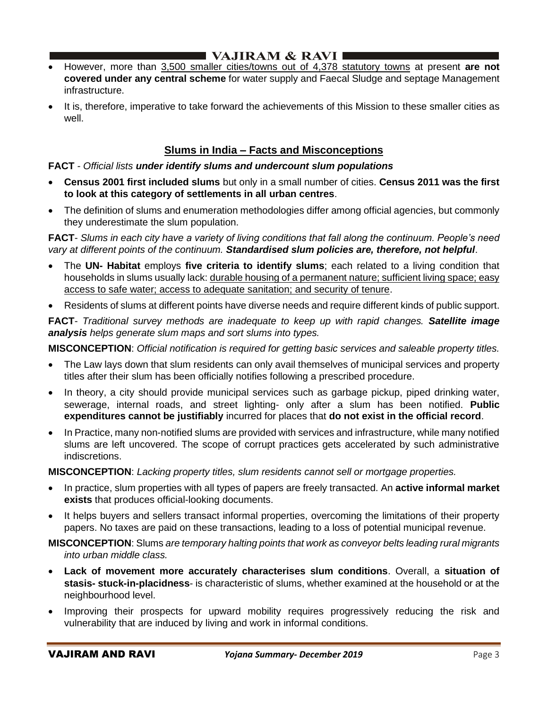- However, more than 3,500 smaller cities/towns out of 4,378 statutory towns at present **are not covered under any central scheme** for water supply and Faecal Sludge and septage Management infrastructure.
- It is, therefore, imperative to take forward the achievements of this Mission to these smaller cities as well.

# **Slums in India – Facts and Misconceptions**

### **FACT** *- Official lists under identify slums and undercount slum populations*

- **Census 2001 first included slums** but only in a small number of cities. **Census 2011 was the first to look at this category of settlements in all urban centres**.
- The definition of slums and enumeration methodologies differ among official agencies, but commonly they underestimate the slum population.

**FACT**- *Slums in each city have a variety of living conditions that fall along the continuum. People's need vary at different points of the continuum. Standardised slum policies are, therefore, not helpful*.

- The **UN- Habitat** employs **five criteria to identify slums**; each related to a living condition that households in slums usually lack: durable housing of a permanent nature; sufficient living space; easy access to safe water; access to adequate sanitation; and security of tenure.
- Residents of slums at different points have diverse needs and require different kinds of public support.

**FACT**- *Traditional survey methods are inadequate to keep up with rapid changes. Satellite image analysis helps generate slum maps and sort slums into types.*

**MISCONCEPTION**: *Official notification is required for getting basic services and saleable property titles.*

- The Law lays down that slum residents can only avail themselves of municipal services and property titles after their slum has been officially notifies following a prescribed procedure.
- In theory, a city should provide municipal services such as garbage pickup, piped drinking water, sewerage, internal roads, and street lighting- only after a slum has been notified. **Public expenditures cannot be justifiably** incurred for places that **do not exist in the official record**.
- In Practice, many non-notified slums are provided with services and infrastructure, while many notified slums are left uncovered. The scope of corrupt practices gets accelerated by such administrative indiscretions.

**MISCONCEPTION**: *Lacking property titles, slum residents cannot sell or mortgage properties.*

- In practice, slum properties with all types of papers are freely transacted. An **active informal market exists** that produces official-looking documents.
- It helps buyers and sellers transact informal properties, overcoming the limitations of their property papers. No taxes are paid on these transactions, leading to a loss of potential municipal revenue.

**MISCONCEPTION**: Slums *are temporary halting points that work as conveyor belts leading rural migrants into urban middle class.*

- **Lack of movement more accurately characterises slum conditions**. Overall, a **situation of stasis- stuck-in-placidness**- is characteristic of slums, whether examined at the household or at the neighbourhood level.
- Improving their prospects for upward mobility requires progressively reducing the risk and vulnerability that are induced by living and work in informal conditions.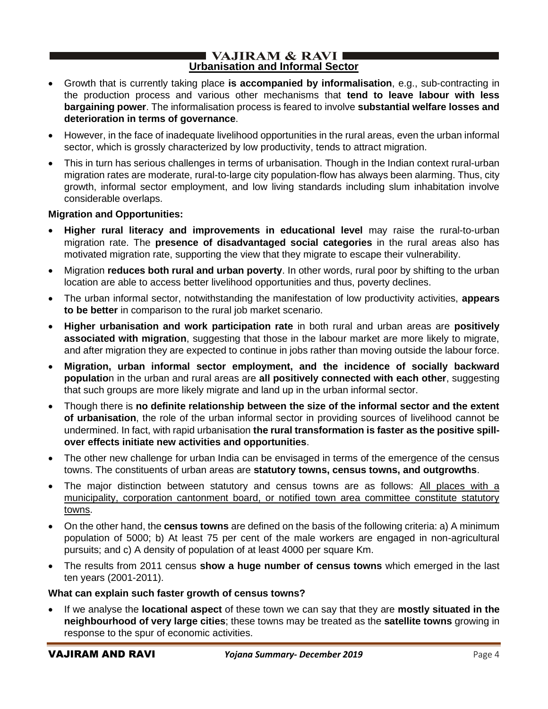#### I VAJIRAM  $\&$  RAVI $\blacksquare$ **Urbanisation and Informal Sector**

- Growth that is currently taking place **is accompanied by informalisation**, e.g., sub-contracting in the production process and various other mechanisms that **tend to leave labour with less bargaining power**. The informalisation process is feared to involve **substantial welfare losses and deterioration in terms of governance**.
- However, in the face of inadequate livelihood opportunities in the rural areas, even the urban informal sector, which is grossly characterized by low productivity, tends to attract migration.
- This in turn has serious challenges in terms of urbanisation. Though in the Indian context rural-urban migration rates are moderate, rural-to-large city population-flow has always been alarming. Thus, city growth, informal sector employment, and low living standards including slum inhabitation involve considerable overlaps.

### **Migration and Opportunities:**

- **Higher rural literacy and improvements in educational level** may raise the rural-to-urban migration rate. The **presence of disadvantaged social categories** in the rural areas also has motivated migration rate, supporting the view that they migrate to escape their vulnerability.
- Migration **reduces both rural and urban poverty**. In other words, rural poor by shifting to the urban location are able to access better livelihood opportunities and thus, poverty declines.
- The urban informal sector, notwithstanding the manifestation of low productivity activities, **appears to be better** in comparison to the rural job market scenario.
- **Higher urbanisation and work participation rate** in both rural and urban areas are **positively associated with migration**, suggesting that those in the labour market are more likely to migrate, and after migration they are expected to continue in jobs rather than moving outside the labour force.
- **Migration, urban informal sector employment, and the incidence of socially backward populatio**n in the urban and rural areas are **all positively connected with each other**, suggesting that such groups are more likely migrate and land up in the urban informal sector.
- Though there is **no definite relationship between the size of the informal sector and the extent of urbanisation**, the role of the urban informal sector in providing sources of livelihood cannot be undermined. In fact, with rapid urbanisation **the rural transformation is faster as the positive spillover effects initiate new activities and opportunities**.
- The other new challenge for urban India can be envisaged in terms of the emergence of the census towns. The constituents of urban areas are **statutory towns, census towns, and outgrowths**.
- The major distinction between statutory and census towns are as follows: All places with a municipality, corporation cantonment board, or notified town area committee constitute statutory towns.
- On the other hand, the **census towns** are defined on the basis of the following criteria: a) A minimum population of 5000; b) At least 75 per cent of the male workers are engaged in non-agricultural pursuits; and c) A density of population of at least 4000 per square Km.
- The results from 2011 census **show a huge number of census towns** which emerged in the last ten years (2001-2011).

### **What can explain such faster growth of census towns?**

• If we analyse the **locational aspect** of these town we can say that they are **mostly situated in the neighbourhood of very large cities**; these towns may be treated as the **satellite towns** growing in response to the spur of economic activities.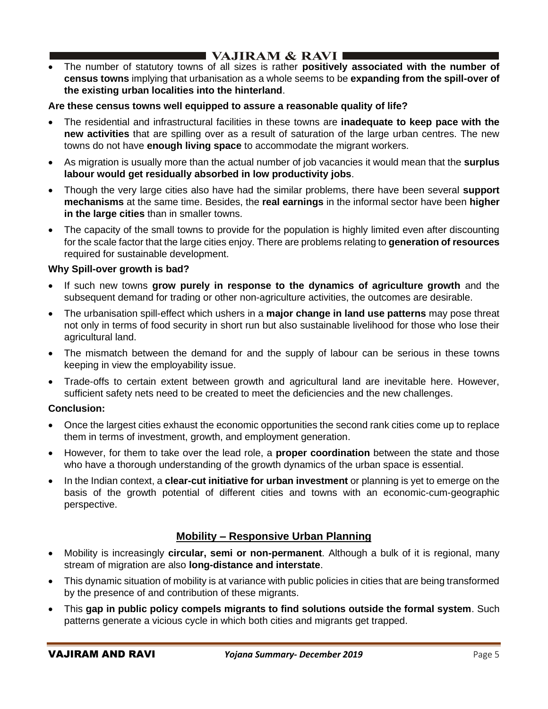• The number of statutory towns of all sizes is rather **positively associated with the number of census towns** implying that urbanisation as a whole seems to be **expanding from the spill-over of the existing urban localities into the hinterland**.

## **Are these census towns well equipped to assure a reasonable quality of life?**

- The residential and infrastructural facilities in these towns are **inadequate to keep pace with the new activities** that are spilling over as a result of saturation of the large urban centres. The new towns do not have **enough living space** to accommodate the migrant workers.
- As migration is usually more than the actual number of job vacancies it would mean that the **surplus labour would get residually absorbed in low productivity jobs**.
- Though the very large cities also have had the similar problems, there have been several **support mechanisms** at the same time. Besides, the **real earnings** in the informal sector have been **higher in the large cities** than in smaller towns.
- The capacity of the small towns to provide for the population is highly limited even after discounting for the scale factor that the large cities enjoy. There are problems relating to **generation of resources** required for sustainable development.

## **Why Spill-over growth is bad?**

- If such new towns **grow purely in response to the dynamics of agriculture growth** and the subsequent demand for trading or other non-agriculture activities, the outcomes are desirable.
- The urbanisation spill-effect which ushers in a **major change in land use patterns** may pose threat not only in terms of food security in short run but also sustainable livelihood for those who lose their agricultural land.
- The mismatch between the demand for and the supply of labour can be serious in these towns keeping in view the employability issue.
- Trade-offs to certain extent between growth and agricultural land are inevitable here. However, sufficient safety nets need to be created to meet the deficiencies and the new challenges.

## **Conclusion:**

- Once the largest cities exhaust the economic opportunities the second rank cities come up to replace them in terms of investment, growth, and employment generation.
- However, for them to take over the lead role, a **proper coordination** between the state and those who have a thorough understanding of the growth dynamics of the urban space is essential.
- In the Indian context, a **clear-cut initiative for urban investment** or planning is yet to emerge on the basis of the growth potential of different cities and towns with an economic-cum-geographic perspective.

# **Mobility – Responsive Urban Planning**

- Mobility is increasingly **circular, semi or non-permanent**. Although a bulk of it is regional, many stream of migration are also **long-distance and interstate**.
- This dynamic situation of mobility is at variance with public policies in cities that are being transformed by the presence of and contribution of these migrants.
- This **gap in public policy compels migrants to find solutions outside the formal system**. Such patterns generate a vicious cycle in which both cities and migrants get trapped.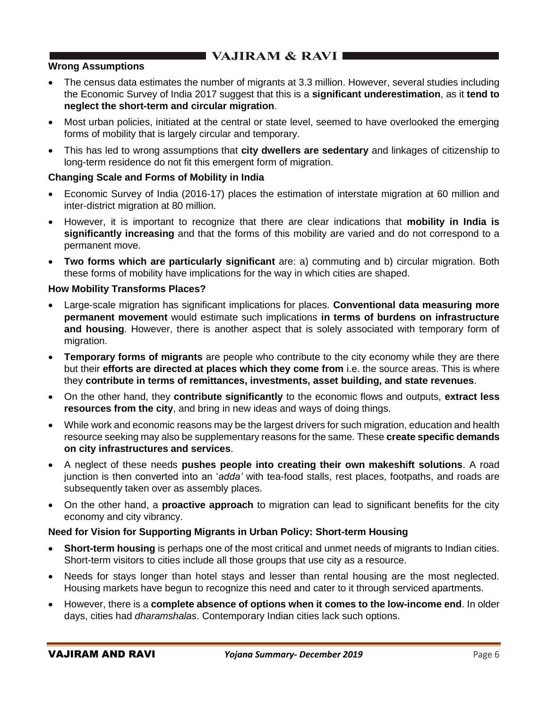## **Wrong Assumptions**

- The census data estimates the number of migrants at 3.3 million. However, several studies including the Economic Survey of India 2017 suggest that this is a **significant underestimation**, as it **tend to neglect the short-term and circular migration**.
- Most urban policies, initiated at the central or state level, seemed to have overlooked the emerging forms of mobility that is largely circular and temporary.
- This has led to wrong assumptions that **city dwellers are sedentary** and linkages of citizenship to long-term residence do not fit this emergent form of migration.

## **Changing Scale and Forms of Mobility in India**

- Economic Survey of India (2016-17) places the estimation of interstate migration at 60 million and inter-district migration at 80 million.
- However, it is important to recognize that there are clear indications that **mobility in India is significantly increasing** and that the forms of this mobility are varied and do not correspond to a permanent move.
- **Two forms which are particularly significant** are: a) commuting and b) circular migration. Both these forms of mobility have implications for the way in which cities are shaped.

## **How Mobility Transforms Places?**

- Large-scale migration has significant implications for places. **Conventional data measuring more permanent movement** would estimate such implications **in terms of burdens on infrastructure and housing**. However, there is another aspect that is solely associated with temporary form of migration.
- **Temporary forms of migrants** are people who contribute to the city economy while they are there but their **efforts are directed at places which they come from** i.e. the source areas. This is where they **contribute in terms of remittances, investments, asset building, and state revenues**.
- On the other hand, they **contribute significantly** to the economic flows and outputs, **extract less resources from the city**, and bring in new ideas and ways of doing things.
- While work and economic reasons may be the largest drivers for such migration, education and health resource seeking may also be supplementary reasons for the same. These **create specific demands on city infrastructures and services**.
- A neglect of these needs **pushes people into creating their own makeshift solutions**. A road junction is then converted into an '*adda'* with tea-food stalls, rest places, footpaths, and roads are subsequently taken over as assembly places.
- On the other hand, a **proactive approach** to migration can lead to significant benefits for the city economy and city vibrancy.

### **Need for Vision for Supporting Migrants in Urban Policy: Short-term Housing**

- **Short-term housing** is perhaps one of the most critical and unmet needs of migrants to Indian cities. Short-term visitors to cities include all those groups that use city as a resource.
- Needs for stays longer than hotel stays and lesser than rental housing are the most neglected. Housing markets have begun to recognize this need and cater to it through serviced apartments.
- However, there is a **complete absence of options when it comes to the low-income end**. In older days, cities had *dharamshalas*. Contemporary Indian cities lack such options.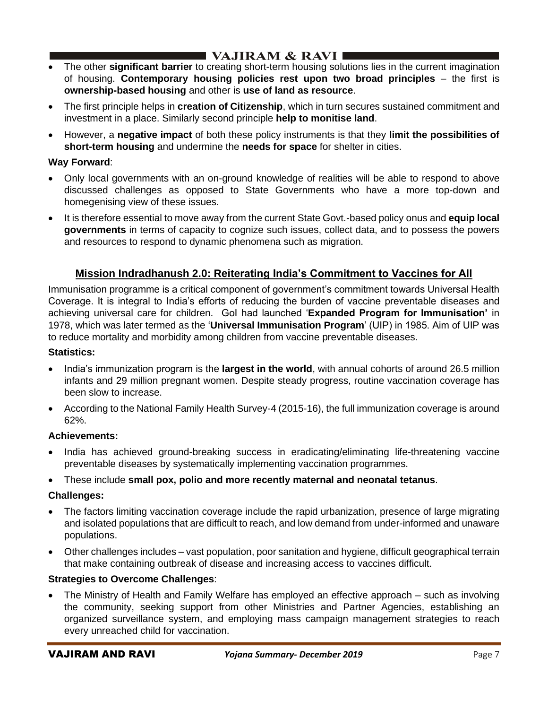# I VAJIRAM  $\&$  RAVI $\blacksquare$

- The other **significant barrier** to creating short-term housing solutions lies in the current imagination of housing. **Contemporary housing policies rest upon two broad principles** – the first is **ownership-based housing** and other is **use of land as resource**.
- The first principle helps in **creation of Citizenship**, which in turn secures sustained commitment and investment in a place. Similarly second principle **help to monitise land**.
- However, a **negative impact** of both these policy instruments is that they **limit the possibilities of short-term housing** and undermine the **needs for space** for shelter in cities.

## **Way Forward**:

- Only local governments with an on-ground knowledge of realities will be able to respond to above discussed challenges as opposed to State Governments who have a more top-down and homegenising view of these issues.
- It is therefore essential to move away from the current State Govt.-based policy onus and **equip local governments** in terms of capacity to cognize such issues, collect data, and to possess the powers and resources to respond to dynamic phenomena such as migration.

# **Mission Indradhanush 2.0: Reiterating India's Commitment to Vaccines for All**

Immunisation programme is a critical component of government's commitment towards Universal Health Coverage. It is integral to India's efforts of reducing the burden of vaccine preventable diseases and achieving universal care for children. GoI had launched '**Expanded Program for Immunisation'** in 1978, which was later termed as the '**Universal Immunisation Program**' (UIP) in 1985. Aim of UIP was to reduce mortality and morbidity among children from vaccine preventable diseases.

## **Statistics:**

- India's immunization program is the **largest in the world**, with annual cohorts of around 26.5 million infants and 29 million pregnant women. Despite steady progress, routine vaccination coverage has been slow to increase.
- According to the National Family Health Survey-4 (2015-16), the full immunization coverage is around 62%.

## **Achievements:**

• India has achieved ground-breaking success in eradicating/eliminating life-threatening vaccine preventable diseases by systematically implementing vaccination programmes.

• These include **small pox, polio and more recently maternal and neonatal tetanus**.

## **Challenges:**

- The factors limiting vaccination coverage include the rapid urbanization, presence of large migrating and isolated populations that are difficult to reach, and low demand from under-informed and unaware populations.
- Other challenges includes vast population, poor sanitation and hygiene, difficult geographical terrain that make containing outbreak of disease and increasing access to vaccines difficult.

## **Strategies to Overcome Challenges**:

• The Ministry of Health and Family Welfare has employed an effective approach – such as involving the community, seeking support from other Ministries and Partner Agencies, establishing an organized surveillance system, and employing mass campaign management strategies to reach every unreached child for vaccination.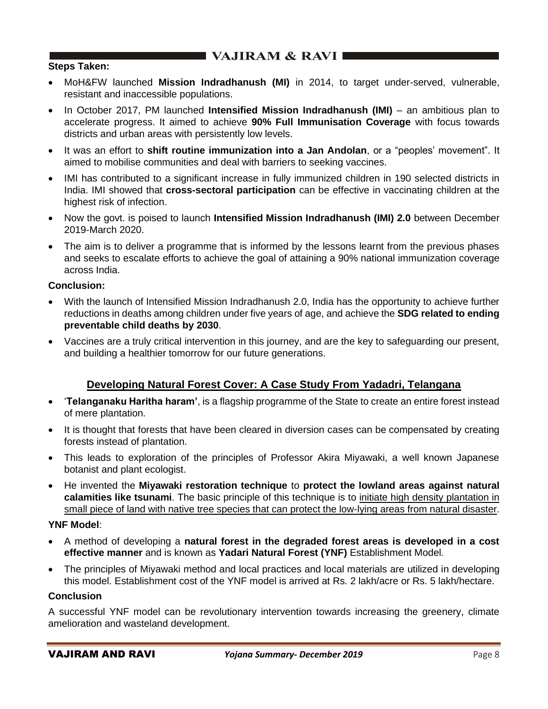# **EXAMPLE VAJIRAM & RAVI EX**

### **Steps Taken:**

- MoH&FW launched **Mission Indradhanush (MI)** in 2014, to target under-served, vulnerable, resistant and inaccessible populations.
- In October 2017, PM launched **Intensified Mission Indradhanush (IMI)** an ambitious plan to accelerate progress. It aimed to achieve **90% Full Immunisation Coverage** with focus towards districts and urban areas with persistently low levels.
- It was an effort to **shift routine immunization into a Jan Andolan**, or a "peoples' movement". It aimed to mobilise communities and deal with barriers to seeking vaccines.
- IMI has contributed to a significant increase in fully immunized children in 190 selected districts in India. IMI showed that **cross-sectoral participation** can be effective in vaccinating children at the highest risk of infection.
- Now the govt. is poised to launch **Intensified Mission Indradhanush (IMI) 2.0** between December 2019-March 2020.
- The aim is to deliver a programme that is informed by the lessons learnt from the previous phases and seeks to escalate efforts to achieve the goal of attaining a 90% national immunization coverage across India.

### **Conclusion:**

- With the launch of Intensified Mission Indradhanush 2.0, India has the opportunity to achieve further reductions in deaths among children under five years of age, and achieve the **SDG related to ending preventable child deaths by 2030**.
- Vaccines are a truly critical intervention in this journey, and are the key to safeguarding our present, and building a healthier tomorrow for our future generations.

## **Developing Natural Forest Cover: A Case Study From Yadadri, Telangana**

- '**Telanganaku Haritha haram'**, is a flagship programme of the State to create an entire forest instead of mere plantation.
- It is thought that forests that have been cleared in diversion cases can be compensated by creating forests instead of plantation.
- This leads to exploration of the principles of Professor Akira Miyawaki, a well known Japanese botanist and plant ecologist.
- He invented the **Miyawaki restoration technique** to **protect the lowland areas against natural calamities like tsunami**. The basic principle of this technique is to initiate high density plantation in small piece of land with native tree species that can protect the low-lying areas from natural disaster.

### **YNF Model**:

- A method of developing a **natural forest in the degraded forest areas is developed in a cost effective manner** and is known as **Yadari Natural Forest (YNF)** Establishment Model.
- The principles of Miyawaki method and local practices and local materials are utilized in developing this model. Establishment cost of the YNF model is arrived at Rs. 2 lakh/acre or Rs. 5 lakh/hectare.

### **Conclusion**

A successful YNF model can be revolutionary intervention towards increasing the greenery, climate amelioration and wasteland development.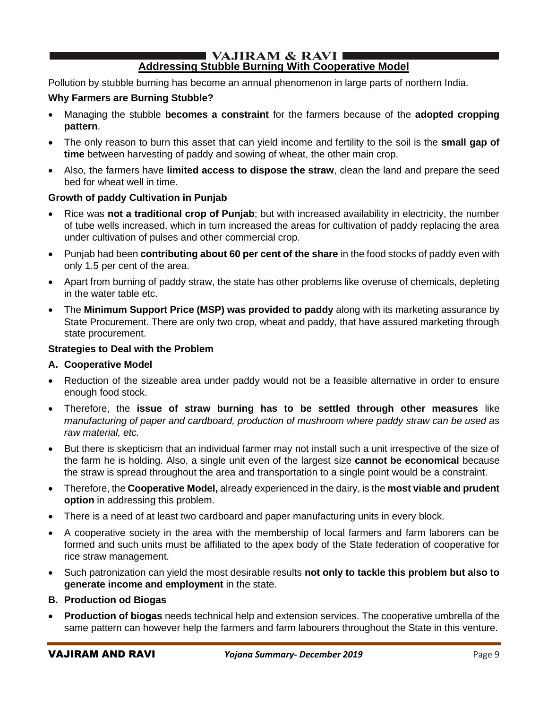#### I VAJIRAM  $\&$  RAVI $\blacksquare$ **Addressing Stubble Burning With Cooperative Model**

Pollution by stubble burning has become an annual phenomenon in large parts of northern India.

## **Why Farmers are Burning Stubble?**

- Managing the stubble **becomes a constraint** for the farmers because of the **adopted cropping pattern**.
- The only reason to burn this asset that can yield income and fertility to the soil is the **small gap of time** between harvesting of paddy and sowing of wheat, the other main crop.
- Also, the farmers have **limited access to dispose the straw**, clean the land and prepare the seed bed for wheat well in time.

## **Growth of paddy Cultivation in Punjab**

- Rice was **not a traditional crop of Punjab**; but with increased availability in electricity, the number of tube wells increased, which in turn increased the areas for cultivation of paddy replacing the area under cultivation of pulses and other commercial crop.
- Punjab had been **contributing about 60 per cent of the share** in the food stocks of paddy even with only 1.5 per cent of the area.
- Apart from burning of paddy straw, the state has other problems like overuse of chemicals, depleting in the water table etc.
- The **Minimum Support Price (MSP) was provided to paddy** along with its marketing assurance by State Procurement. There are only two crop, wheat and paddy, that have assured marketing through state procurement.

### **Strategies to Deal with the Problem**

### **A. Cooperative Model**

- Reduction of the sizeable area under paddy would not be a feasible alternative in order to ensure enough food stock.
- Therefore, the **issue of straw burning has to be settled through other measures** like *manufacturing of paper and cardboard, production of mushroom where paddy straw can be used as raw material, etc.*
- But there is skepticism that an individual farmer may not install such a unit irrespective of the size of the farm he is holding. Also, a single unit even of the largest size **cannot be economical** because the straw is spread throughout the area and transportation to a single point would be a constraint.
- Therefore, the **Cooperative Model,** already experienced in the dairy, is the **most viable and prudent option** in addressing this problem.
- There is a need of at least two cardboard and paper manufacturing units in every block.
- A cooperative society in the area with the membership of local farmers and farm laborers can be formed and such units must be affiliated to the apex body of the State federation of cooperative for rice straw management.
- Such patronization can yield the most desirable results **not only to tackle this problem but also to generate income and employment** in the state.
- **B. Production od Biogas**
- **Production of biogas** needs technical help and extension services. The cooperative umbrella of the same pattern can however help the farmers and farm labourers throughout the State in this venture.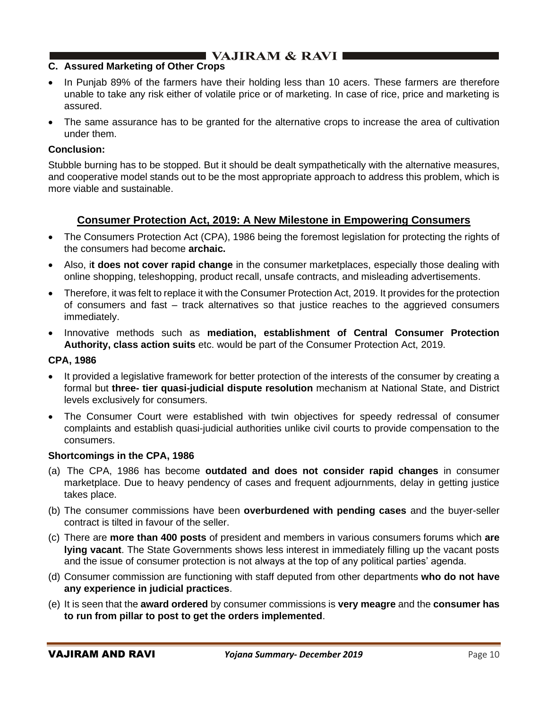### **C. Assured Marketing of Other Crops**

- In Punjab 89% of the farmers have their holding less than 10 acers. These farmers are therefore unable to take any risk either of volatile price or of marketing. In case of rice, price and marketing is assured.
- The same assurance has to be granted for the alternative crops to increase the area of cultivation under them.

### **Conclusion:**

Stubble burning has to be stopped. But it should be dealt sympathetically with the alternative measures, and cooperative model stands out to be the most appropriate approach to address this problem, which is more viable and sustainable.

## **Consumer Protection Act, 2019: A New Milestone in Empowering Consumers**

- The Consumers Protection Act (CPA), 1986 being the foremost legislation for protecting the rights of the consumers had become **archaic.**
- Also, i**t does not cover rapid change** in the consumer marketplaces, especially those dealing with online shopping, teleshopping, product recall, unsafe contracts, and misleading advertisements.
- Therefore, it was felt to replace it with the Consumer Protection Act, 2019. It provides for the protection of consumers and fast – track alternatives so that justice reaches to the aggrieved consumers immediately.
- Innovative methods such as **mediation, establishment of Central Consumer Protection Authority, class action suits** etc. would be part of the Consumer Protection Act, 2019.

### **CPA, 1986**

- It provided a legislative framework for better protection of the interests of the consumer by creating a formal but **three- tier quasi-judicial dispute resolution** mechanism at National State, and District levels exclusively for consumers.
- The Consumer Court were established with twin objectives for speedy redressal of consumer complaints and establish quasi-judicial authorities unlike civil courts to provide compensation to the consumers.

#### **Shortcomings in the CPA, 1986**

- (a) The CPA, 1986 has become **outdated and does not consider rapid changes** in consumer marketplace. Due to heavy pendency of cases and frequent adjournments, delay in getting justice takes place.
- (b) The consumer commissions have been **overburdened with pending cases** and the buyer-seller contract is tilted in favour of the seller.
- (c) There are **more than 400 posts** of president and members in various consumers forums which **are lying vacant**. The State Governments shows less interest in immediately filling up the vacant posts and the issue of consumer protection is not always at the top of any political parties' agenda.
- (d) Consumer commission are functioning with staff deputed from other departments **who do not have any experience in judicial practices**.
- (e) It is seen that the **award ordered** by consumer commissions is **very meagre** and the **consumer has to run from pillar to post to get the orders implemented**.